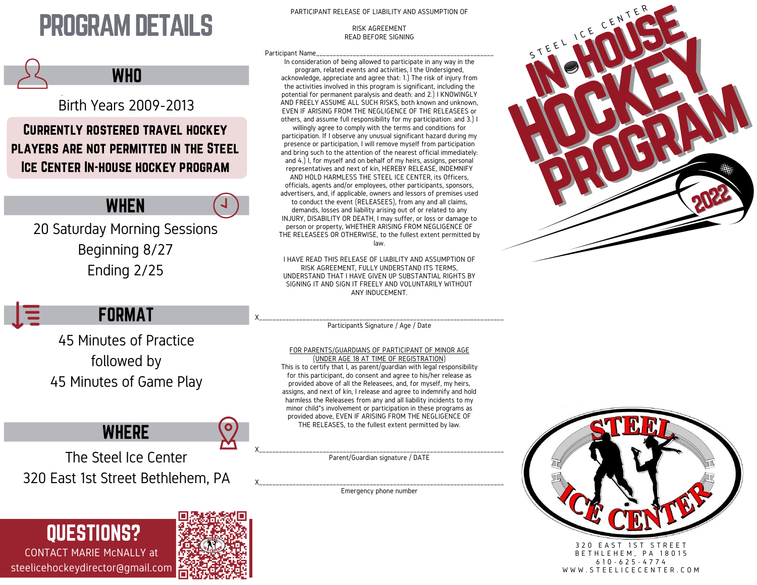# PROGRAM DETAILS

**WHO** 

Birth Years 2009-2013

### Currently rostered travel hockey players are not permitted in the Steel Ice Center In-house hockey program

## WHEN

20 Saturday Morning Sessions Beginning 8/27 Ending 2/25

#### PARTICIPANT RELEASE OF LIABILITY AND ASSUMPTION OF

#### RISK AGREEMENT READ BEFORE SIGNING

Participant Name

In consideration of being allowed to participate in any way in the program, related events and activities, I the Undersigned, acknowledge, appreciate and agree that: 1.) The risk of injury from the activities involved in this program is significant, including the potential for permanent paralysis and death: and 2.) I KNOWINGLY AND FREELY ASSUME ALL SUCH RISKS, both known and unknown, EVEN IF ARISING FROM THE NEGLIGENCE OF THE RELEASEES or others, and assume full responsibility for my participation: and 3.) I

willingly agree to comply with the terms and conditions for participation. If I observe any unusual significant hazard during my presence or participation, I will remove myself from participation and bring such to the attention of the nearest official immediately: and 4.) I, for myself and on behalf of my heirs, assigns, personal representatives and next of kin, HEREBY RELEASE, INDEMNIFY AND HOLD HARMLESS THE STEEL ICE CENTER, its Officers, officials, agents and/or employees, other participants, sponsors, advertisers, and, if applicable, owners and lessors of premises used to conduct the event (RELEASEES), from any and all claims, demands, losses and liability arising out of or related to any INJURY, DISABILITY OR DEATH, I may suffer, or loss or damage to person or property, WHETHER ARISING FROM NEGLIGENCE OF THE RELEASEES OR OTHERWISE, to the fullest extent permitted by

law.

I HAVE READ THIS RELEASE OF LIABILITY AND ASSUMPTION OF RISK AGREEMENT, FULLY UNDERSTAND ITS TERMS, UNDERSTAND THAT I HAVE GIVEN UP SUBSTANTIAL RIGHTS BY SIGNING IT AND SIGN IT FREELY AND VOLUNTARILY WITHOUT ANY INDUCEMENT.



# FORMAT

45 Minutes of Practice followed by 45 Minutes of Game Play

## **WHERE**

The Steel Ice Center 320 East 1st Street Bethlehem, PA





X\_\_\_\_\_\_\_\_\_\_\_\_\_\_\_\_\_\_\_\_\_\_\_\_\_\_\_\_\_\_\_\_\_\_\_\_\_\_\_\_\_\_\_\_\_\_\_\_\_\_\_\_\_\_\_\_\_\_\_\_\_\_\_\_\_\_\_\_\_\_\_\_\_ Participant's Signature / Age / Date

#### FOR PARENTS/GUARDIANS OF PARTICIPANT OF MINOR AGE (UNDER AGE 18 AT TIME OF REGISTRATION)

This is to certify that I, as parent/guardian with legal responsibility for this participant, do consent and agree to his/her release as provided above of all the Releasees, and, for myself, my heirs, assigns, and next of kin, I release and agree to indemnify and hold harmless the Releasees from any and all liability incidents to my minor child\*s involvement or participation in these programs as provided above, EVEN IF ARISING FROM THE NEGLIGENCE OF THE RELEASES, to the fullest extent permitted by law.

X\_\_\_\_\_\_\_\_\_\_\_\_\_\_\_\_\_\_\_\_\_\_\_\_\_\_\_\_\_\_\_\_\_\_\_\_\_\_\_\_\_\_\_\_\_\_\_\_\_\_\_\_\_\_\_\_\_\_\_\_\_\_\_\_\_\_\_\_\_\_\_\_\_ Parent/Guardian signature / DATE

X\_\_\_\_\_\_\_\_\_\_\_\_\_\_\_\_\_\_\_\_\_\_\_\_\_\_\_\_\_\_\_\_\_\_\_\_\_\_\_\_\_\_\_\_\_\_\_\_\_\_\_\_\_\_\_\_\_\_\_\_\_\_\_\_\_\_\_\_\_\_\_\_\_ Emergency phone number



3 2 0 E A S T 1 S T S T R E E T **B E T H L E H E M . P A 18015** 6 1 0 - 6 2 5 - 4 7 7 4 W W W . S T E E L I C E C E N T E R . C O M